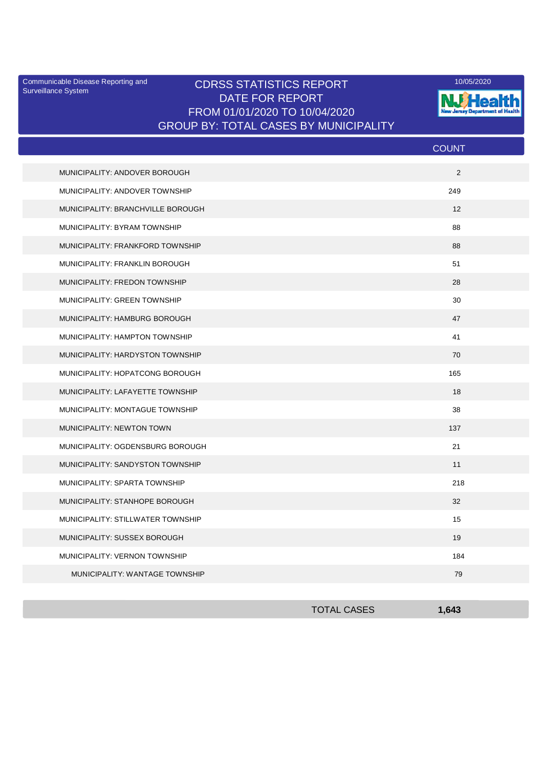Surveillance System

## Communicable Disease Reporting and **CDRSS STATISTICS REPORT** 10/05/2020<br>Curreillance Statem DATE FOR REPORT FROM 01/01/2020 TO 10/04/2020 GROUP BY: TOTAL CASES BY MUNICIPALITY



|                                   | <b>COUNT</b>      |
|-----------------------------------|-------------------|
| MUNICIPALITY: ANDOVER BOROUGH     | 2                 |
| MUNICIPALITY: ANDOVER TOWNSHIP    | 249               |
| MUNICIPALITY: BRANCHVILLE BOROUGH | $12 \overline{ }$ |
| MUNICIPALITY: BYRAM TOWNSHIP      | 88                |
| MUNICIPALITY: FRANKFORD TOWNSHIP  | 88                |
| MUNICIPALITY: FRANKLIN BOROUGH    | 51                |
| MUNICIPALITY: FREDON TOWNSHIP     | 28                |
| MUNICIPALITY: GREEN TOWNSHIP      | 30                |
| MUNICIPALITY: HAMBURG BOROUGH     | 47                |
| MUNICIPALITY: HAMPTON TOWNSHIP    | 41                |
| MUNICIPALITY: HARDYSTON TOWNSHIP  | 70                |
| MUNICIPALITY: HOPATCONG BOROUGH   | 165               |
| MUNICIPALITY: LAFAYETTE TOWNSHIP  | 18                |
| MUNICIPALITY: MONTAGUE TOWNSHIP   | 38                |
| MUNICIPALITY: NEWTON TOWN         | 137               |
| MUNICIPALITY: OGDENSBURG BOROUGH  | 21                |
| MUNICIPALITY: SANDYSTON TOWNSHIP  | 11                |
| MUNICIPALITY: SPARTA TOWNSHIP     | 218               |
| MUNICIPALITY: STANHOPE BOROUGH    | 32                |
| MUNICIPALITY: STILLWATER TOWNSHIP | 15                |
| MUNICIPALITY: SUSSEX BOROUGH      | 19                |
| MUNICIPALITY: VERNON TOWNSHIP     | 184               |
| MUNICIPALITY: WANTAGE TOWNSHIP    | 79                |

| <b>TOTAL CASES</b> | 1,643 |
|--------------------|-------|
|                    |       |